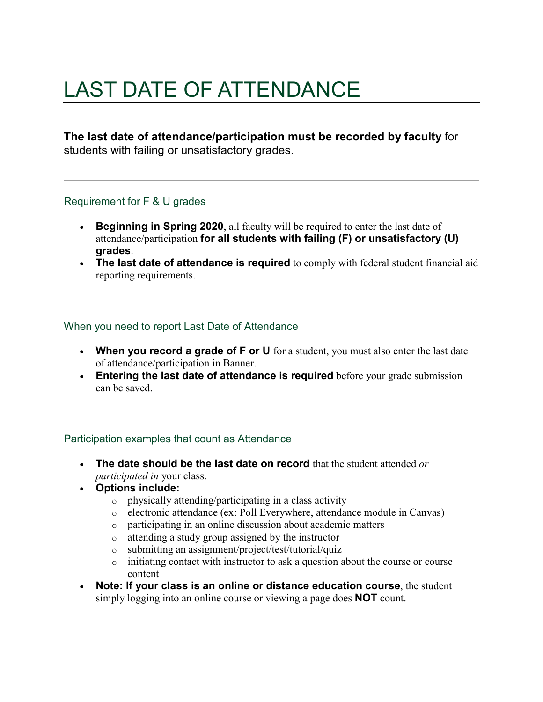# LAST DATE OF ATTENDANCE

**The last date of attendance/participation must be recorded by faculty** for students with failing or unsatisfactory grades.

## Requirement for F & U grades

- **Beginning in Spring 2020**, all faculty will be required to enter the last date of attendance/participation **for all students with failing (F) or unsatisfactory (U) grades**.
- **The last date of attendance is required** to comply with federal student financial aid reporting requirements.

## When you need to report Last Date of Attendance

- **When you record a grade of F or U** for a student, you must also enter the last date of attendance/participation in Banner.
- **Entering the last date of attendance is required** before your grade submission can be saved.

## Participation examples that count as Attendance

- **The date should be the last date on record** that the student attended *or participated in* your class.
- **Options include:**
	- o physically attending/participating in a class activity
	- o electronic attendance (ex: Poll Everywhere, attendance module in Canvas)
	- o participating in an online discussion about academic matters
	- o attending a study group assigned by the instructor
	- o submitting an assignment/project/test/tutorial/quiz
	- o initiating contact with instructor to ask a question about the course or course content
- **Note: If your class is an online or distance education course**, the student simply logging into an online course or viewing a page does **NOT** count.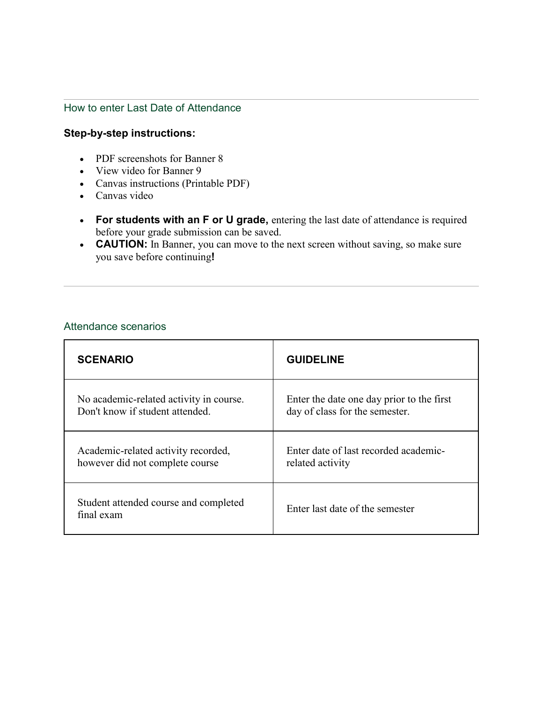# How to enter Last Date of Attendance

# **Step-by-step instructions:**

- PDF screenshots for Banner 8
- View video for Banner 9
- Canvas instructions (Printable PDF)
- Canvas video
- **For students with an F or U grade,** entering the last date of attendance is required before your grade submission can be saved.
- **CAUTION:** In Banner, you can move to the next screen without saving, so make sure you save before continuing**!**

#### Attendance scenarios

| <b>SCENARIO</b>                                     | <b>GUIDELINE</b>                          |
|-----------------------------------------------------|-------------------------------------------|
| No academic-related activity in course.             | Enter the date one day prior to the first |
| Don't know if student attended.                     | day of class for the semester.            |
| Academic-related activity recorded,                 | Enter date of last recorded academic-     |
| however did not complete course                     | related activity                          |
| Student attended course and completed<br>final exam | Enter last date of the semester           |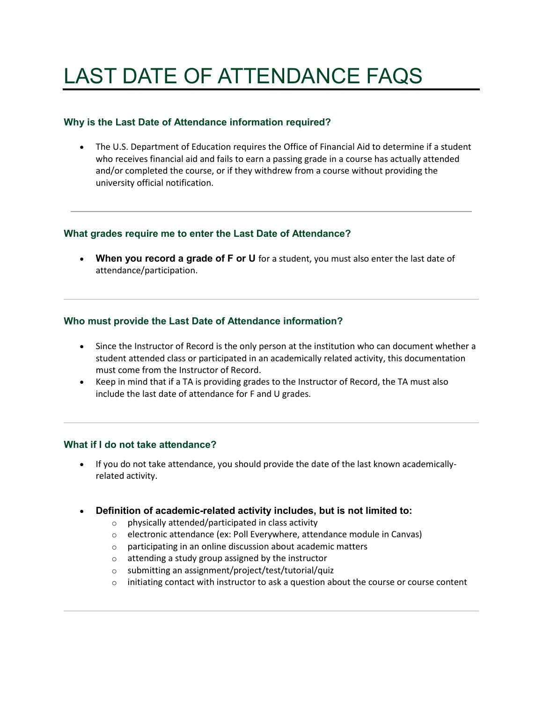# LAST DATE OF ATTENDANCE FAQS

### **Why is the Last Date of Attendance information required?**

• The U.S. Department of Education requires the Office of Financial Aid to determine if a student who receives financial aid and fails to earn a passing grade in a course has actually attended and/or completed the course, or if they withdrew from a course without providing the university official notification.

## **What grades require me to enter the Last Date of Attendance?**

• **When you record a grade of F or U** for a student, you must also enter the last date of attendance/participation.

## **Who must provide the Last Date of Attendance information?**

- Since the Instructor of Record is the only person at the institution who can document whether a student attended class or participated in an academically related activity, this documentation must come from the Instructor of Record.
- Keep in mind that if a TA is providing grades to the Instructor of Record, the TA must also include the last date of attendance for F and U grades.

#### **What if I do not take attendance?**

- If you do not take attendance, you should provide the date of the last known academicallyrelated activity.
- **Definition of academic-related activity includes, but is not limited to:**
	- o physically attended/participated in class activity
	- o electronic attendance (ex: Poll Everywhere, attendance module in Canvas)
	- o participating in an online discussion about academic matters
	- o attending a study group assigned by the instructor
	- o submitting an assignment/project/test/tutorial/quiz
	- $\circ$  initiating contact with instructor to ask a question about the course or course content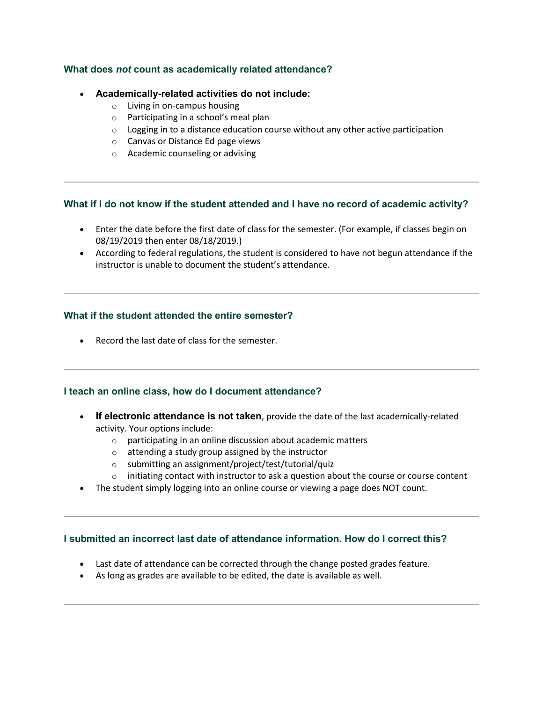#### **What does** *not* **count as academically related attendance?**

#### • **Academically-related activities do not include:**

- o Living in on-campus housing
- o Participating in a school's meal plan
- $\circ$  Logging in to a distance education course without any other active participation
- o Canvas or Distance Ed page views
- o Academic counseling or advising

#### **What if I do not know if the student attended and I have no record of academic activity?**

- Enter the date before the first date of class for the semester. (For example, if classes begin on 08/19/2019 then enter 08/18/2019.)
- According to federal regulations, the student is considered to have not begun attendance if the instructor is unable to document the student's attendance.

#### **What if the student attended the entire semester?**

• Record the last date of class for the semester.

#### **I teach an online class, how do I document attendance?**

- **If electronic attendance is not taken**, provide the date of the last academically-related activity. Your options include:
	- o participating in an online discussion about academic matters
	- o attending a study group assigned by the instructor
	- o submitting an assignment/project/test/tutorial/quiz
	- $\circ$  initiating contact with instructor to ask a question about the course or course content
- The student simply logging into an online course or viewing a page does NOT count.

#### **I submitted an incorrect last date of attendance information. How do I correct this?**

- Last date of attendance can be corrected through the change posted grades feature.
- As long as grades are available to be edited, the date is available as well.